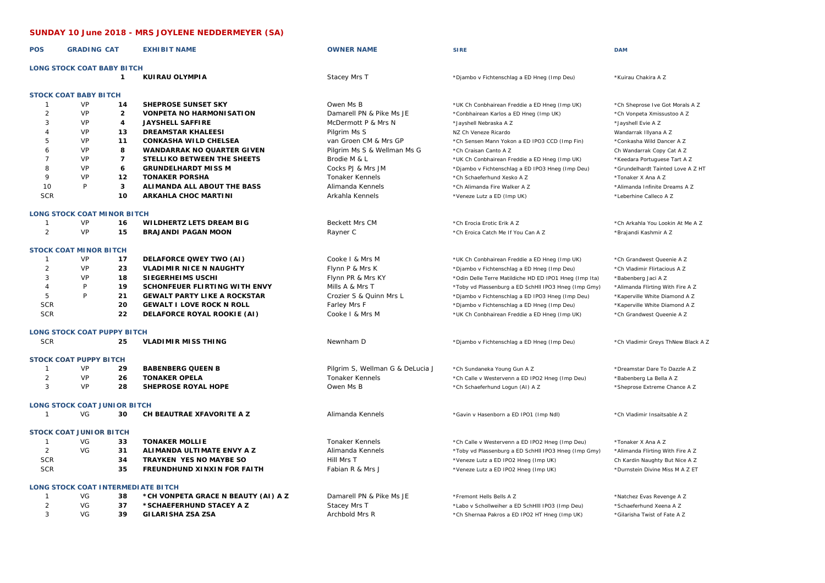## **SUNDAY 10 June 2018 - MRS JOYLENE NEDDERMEYER (SA)**

| <b>POS</b>     | <b>GRADING CAT</b>                  |                         | <b>EXHIBIT NAME</b>                       | <b>OWNER NAME</b>                | <b>SIRE</b>                                            | <b>DAM</b>                         |
|----------------|-------------------------------------|-------------------------|-------------------------------------------|----------------------------------|--------------------------------------------------------|------------------------------------|
|                | <b>LONG STOCK COAT BABY BITCH</b>   |                         |                                           |                                  |                                                        |                                    |
|                |                                     | $\mathbf{1}$            | KUIRAU OLYMPIA                            | Stacey Mrs T                     | *Djambo v Fichtenschlag a ED Hneg (Imp Deu)            | *Kuirau Chakira A Z                |
|                | <b>STOCK COAT BABY BITCH</b>        |                         |                                           |                                  |                                                        |                                    |
| $\mathbf{1}$   | VP                                  | 14                      | <b>SHEPROSE SUNSET SKY</b>                | Owen Ms B                        | *UK Ch Conbhairean Freddie a ED Hneg (Imp UK)          | *Ch Sheprose Ive Got Morals A Z    |
| 2              | VP                                  | $\overline{2}$          | <b>VONPETA NO HARMONISATION</b>           | Damarell PN & Pike Ms JE         | *Conbhairean Karlos a ED Hneg (Imp UK)                 | *Ch Vonpeta Xmissustoo A Z         |
| 3              | VP                                  | $\overline{\mathbf{4}}$ | <b>JAYSHELL SAFFIRE</b>                   | McDermott P & Mrs N              | *Jayshell Nebraska A Z                                 | *Jayshell Evie A Z                 |
| 4              | VP                                  | 13                      | <b>DREAMSTAR KHALEESI</b>                 | Pilgrim Ms S                     | NZ Ch Veneze Ricardo                                   | Wandarrak Illyana A Z              |
| 5              | VP                                  | 11                      | <b>CONKASHA WILD CHELSEA</b>              | van Groen CM & Mrs GP            | *Ch Sensen Mann Yokon a ED IPO3 CCD (Imp Fin)          | *Conkasha Wild Dancer A Z          |
| 6              | VP                                  | 8                       | <b>WANDARRAK NO QUARTER GIVEN</b>         | Pilgrim Ms S & Wellman Ms G      | *Ch Craisan Canto A Z                                  | Ch Wandarrak Copy Cat A Z          |
| $\overline{7}$ | VP                                  | $\overline{7}$          | STELLIKO BETWEEN THE SHEETS               | Brodie M & L                     | *UK Ch Conbhairean Freddie a ED Hneg (Imp UK)          | *Keedara Portuguese Tart A Z       |
| 8              | VP                                  | 6                       | <b>GRUNDELHARDT MISS M</b>                | Cocks PJ & Mrs JM                | *Djambo v Fichtenschlag a ED IPO3 Hneg (Imp Deu)       | *Grundelhardt Tainted Love A Z HT  |
| 9              | VP                                  | 12                      | <b>TONAKER PORSHA</b>                     | <b>Tonaker Kennels</b>           | *Ch Schaeferhund Xesko A Z                             | *Tonaker X Ana A Z                 |
| 10             | P                                   | $\mathbf{3}$            | ALIMANDA ALL ABOUT THE BASS               | Alimanda Kennels                 | *Ch Alimanda Fire Walker A Z                           | *Alimanda Infinite Dreams A Z      |
| <b>SCR</b>     |                                     | 10                      | ARKAHLA CHOC MARTINI                      | Arkahla Kennels                  | *Veneze Lutz a ED (Imp UK)                             | *Leberhine Calleco A Z             |
|                |                                     |                         |                                           |                                  |                                                        |                                    |
|                | <b>LONG STOCK COAT MINOR BITCH</b>  |                         |                                           |                                  |                                                        |                                    |
| -1             | VP                                  | 16                      | <b>WILDHERTZ LETS DREAM BIG</b>           | <b>Beckett Mrs CM</b>            | *Ch Erocia Erotic Erik A Z                             | *Ch Arkahla You Lookin At Me A Z   |
| $\overline{2}$ | VP                                  | 15                      | <b>BRAJANDI PAGAN MOON</b>                | Rayner C                         | *Ch Eroica Catch Me If You Can A Z                     | *Brajandi Kashmir A Z              |
|                | <b>STOCK COAT MINOR BITCH</b>       |                         |                                           |                                  |                                                        |                                    |
| $\mathbf{1}$   | VP                                  | 17                      | DELAFORCE QWEY TWO (AI)                   | Cooke   & Mrs M                  | *UK Ch Conbhairean Freddie a ED Hneg (Imp UK)          | *Ch Grandwest Queenie A Z          |
| $\overline{2}$ | VP                                  | 23                      | <b>VLADIMIR NICE N NAUGHTY</b>            | Flynn P & Mrs K                  | *Djambo v Fichtenschlag a ED Hneg (Imp Deu)            | *Ch Vladimir Flirtacious A Z       |
| 3              | VP                                  | 18                      | SIEGERHEIMS USCHI                         | Flynn PR & Mrs KY                | *Odin Delle Terre Matildiche HD ED IPO1 Hneg (Imp Ita) | *Babenberg Jaci A Z                |
| $\overline{4}$ | P                                   | 19                      | SCHONFEUER FLIRTING WITH ENVY             | Mills A & Mrs T                  | *Toby vd Plassenburg a ED SchHII IPO3 Hneg (Imp Gmy)   | *Alimanda Flirting With Fire A Z   |
| 5              | P                                   | 21                      | <b>GEWALT PARTY LIKE A ROCKSTAR</b>       | Crozier S & Quinn Mrs L          | *Djambo v Fichtenschlag a ED IPO3 Hneg (Imp Deu)       | *Kaperville White Diamond A Z      |
| <b>SCR</b>     |                                     | 20                      | <b>GEWALT I LOVE ROCK N ROLL</b>          | Farley Mrs F                     | *Djambo v Fichtenschlag a ED Hneg (Imp Deu)            | *Kaperville White Diamond A Z      |
| <b>SCR</b>     |                                     | 22                      | DELAFORCE ROYAL ROOKIE (AI)               | Cooke I & Mrs M                  | *UK Ch Conbhairean Freddie a ED Hneg (Imp UK)          | *Ch Grandwest Queenie A Z          |
|                |                                     |                         |                                           |                                  |                                                        |                                    |
|                | <b>LONG STOCK COAT PUPPY BITCH</b>  |                         |                                           |                                  |                                                        |                                    |
| <b>SCR</b>     |                                     | 25                      | <b>VLADIMIR MISS THING</b>                | Newnham D                        | *Djambo v Fichtenschlag a ED Hneg (Imp Deu)            | *Ch Vladimir Greys ThNew Black A Z |
|                | <b>STOCK COAT PUPPY BITCH</b>       |                         |                                           |                                  |                                                        |                                    |
| $\mathbf{1}$   | VP                                  | 29                      | <b>BABENBERG QUEEN B</b>                  | Pilgrim S, Wellman G & DeLucia J | *Ch Sundaneka Young Gun A Z                            | *Dreamstar Dare To Dazzle A Z      |
| 2              | VP                                  | 26                      | <b>TONAKER OPELA</b>                      | <b>Tonaker Kennels</b>           | *Ch Calle v Westervenn a ED IPO2 Hneg (Imp Deu)        | *Babenberg La Bella A Z            |
| 3              | VP                                  | 28                      | <b>SHEPROSE ROYAL HOPE</b>                | Owen Ms B                        | *Ch Schaeferhund Logun (AI) A Z                        | *Sheprose Extreme Chance A Z       |
|                | <b>LONG STOCK COAT JUNIOR BITCH</b> |                         |                                           |                                  |                                                        |                                    |
| $\mathbf{1}$   | VG                                  | 30                      | CH BEAUTRAE XFAVORITE A Z                 | Alimanda Kennels                 | *Gavin v Hasenborn a ED IPO1 (Imp Ndl)                 | *Ch Vladimir Insaitsable A Z       |
|                |                                     |                         |                                           |                                  |                                                        |                                    |
|                | <b>STOCK COAT JUNIOR BITCH</b>      |                         |                                           |                                  |                                                        |                                    |
| $\mathbf{1}$   | VG                                  | 33                      | <b>TONAKER MOLLIE</b>                     | <b>Tonaker Kennels</b>           | *Ch Calle v Westervenn a ED IPO2 Hneg (Imp Deu)        | *Tonaker X Ana A Z                 |
| $\overline{2}$ | VG                                  | 31                      | ALIMANDA ULTIMATE ENVY A Z                | Alimanda Kennels                 | *Toby vd Plassenburg a ED SchHII IPO3 Hneg (Imp Gmy)   | *Alimanda Flirting With Fire A Z   |
| <b>SCR</b>     |                                     | 34                      | <b>TRAYKEN YES NO MAYBE SO</b>            | Hill Mrs T                       | *Veneze Lutz a ED IPO2 Hneg (Imp UK)                   | Ch Kardin Naughty But Nice A Z     |
| <b>SCR</b>     |                                     | 35                      | FREUNDHUND XINXIN FOR FAITH               | Fabian R & Mrs J                 | *Veneze Lutz a ED IPO2 Hneg (Imp UK)                   | *Durnstein Divine Miss M A Z ET    |
|                |                                     |                         | <b>LONG STOCK COAT INTERMEDIATE BITCH</b> |                                  |                                                        |                                    |
| $\mathbf{1}$   | VG                                  | 38                      | *CH VONPETA GRACE N BEAUTY (AI) A Z       | Damarell PN & Pike Ms JE         | *Fremont Hells Bells A Z                               | *Natchez Evas Revenge A Z          |
| $\overline{2}$ | VG                                  | 37                      | *SCHAEFERHUND STACEY A Z                  | Stacey Mrs T                     | *Labo v Schollweiher a ED SchHill IPO3 (Imp Deu)       | *Schaeferhund Xeena A Z            |
| 3              | VG                                  | 39                      | <b>GILARISHA ZSA ZSA</b>                  | Archbold Mrs R                   | *Ch Shernaa Pakros a ED IPO2 HT Hneg (Imp UK)          | *Gilarisha Twist of Fate A Z       |
|                |                                     |                         |                                           |                                  |                                                        |                                    |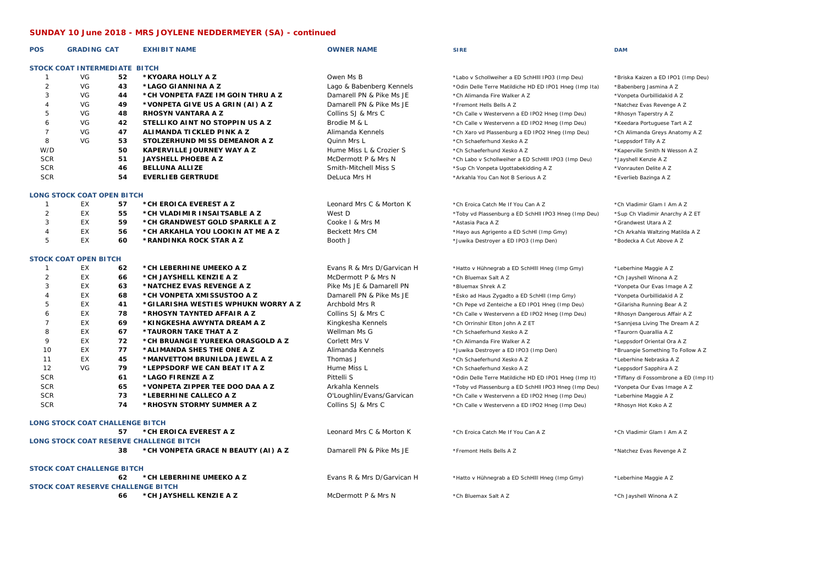## **SUNDAY 10 June 2018 - MRS JOYLENE NEDDERMEYER (SA) - continued**

| <b>POS</b>                                                                                                                                                              | <b>GRADING CAT</b>                |    | <b>EXHIBIT NAME</b>                 | <b>OWNER NAME</b>          | <b>SIRE</b>                                            | <b>DAM</b>                            |
|-------------------------------------------------------------------------------------------------------------------------------------------------------------------------|-----------------------------------|----|-------------------------------------|----------------------------|--------------------------------------------------------|---------------------------------------|
|                                                                                                                                                                         | STOCK COAT INTERMEDIATE BITCH     |    |                                     |                            |                                                        |                                       |
| $\mathbf{1}$                                                                                                                                                            | VG                                | 52 | *KYOARA HOLLY A Z                   | Owen Ms B                  | *Labo v Schollweiher a ED SchHill IPO3 (Imp Deu)       | *Briska Kaizen a ED IPO1 (Imp Deu)    |
| $\overline{2}$                                                                                                                                                          | VG                                | 43 | *LAGO GIANNINA A Z                  | Lago & Babenberg Kennels   | *Odin Delle Terre Matildiche HD ED IPO1 Hneg (Imp Ita) | *Babenberg Jasmina A Z                |
| 3                                                                                                                                                                       | VG                                | 44 | *CH VONPETA FAZE IM GOIN THRU A Z   | Damarell PN & Pike Ms JE   | *Ch Alimanda Fire Walker A Z                           | *Vonpeta Ourbillidakid A Z            |
| 4                                                                                                                                                                       | VG                                | 49 | *VONPETA GIVE US A GRIN (AI) A Z    | Damarell PN & Pike Ms JE   | *Fremont Hells Bells A Z                               | *Natchez Evas Revenge A Z             |
| 5                                                                                                                                                                       | VG                                | 48 | <b>RHOSYN VANTARA A Z</b>           | Collins SJ & Mrs C         | *Ch Calle v Westervenn a ED IPO2 Hneg (Imp Deu)        | *Rhosyn Taperstry A Z                 |
| 6                                                                                                                                                                       | VG                                | 42 | STELLIKO AINT NO STOPPIN US A Z     | Brodie M & L               | *Ch Calle v Westervenn a ED IPO2 Hneg (Imp Deu)        | *Keedara Portuguese Tart A Z          |
| $\overline{7}$                                                                                                                                                          | VG                                | 47 | ALIMANDA TICKLED PINK A Z           | Alimanda Kennels           | *Ch Xaro vd Plassenburg a ED IPO2 Hneg (Imp Deu)       | *Ch Alimanda Greys Anatomy A Z        |
| 8                                                                                                                                                                       | VG                                | 53 | STOLZERHUND MISS DEMEANOR A Z       | Quinn Mrs L                | *Ch Schaeferhund Xesko A Z                             | *Leppsdorf Tilly A Z                  |
| W/D                                                                                                                                                                     |                                   | 50 | <b>KAPERVILLE JOURNEY WAY A Z</b>   | Hume Miss L & Crozier S    | *Ch Schaeferhund Xesko A Z                             | *Kaperville Smith N Wesson A Z        |
| <b>SCR</b>                                                                                                                                                              |                                   | 51 | <b>JAYSHELL PHOEBE A Z</b>          | McDermott P & Mrs N        | *Ch Labo v Schollweiher a ED SchHill IPO3 (Imp Deu)    | *Jayshell Kenzie A Z                  |
| <b>SCR</b>                                                                                                                                                              |                                   | 46 | <b>BELLUNA ALLIZE</b>               | Smith-Mitchell Miss S      | *Sup Ch Vonpeta Ugottabekidding A Z                    | *Vonrauten Delite A Z                 |
| <b>SCR</b>                                                                                                                                                              |                                   | 54 | <b>EVERLIEB GERTRUDE</b>            | DeLuca Mrs H               | *Arkahla You Can Not B Serious A Z                     | *Everlieb Bazinga A Z                 |
|                                                                                                                                                                         | <b>LONG STOCK COAT OPEN BITCH</b> |    |                                     |                            |                                                        |                                       |
| $\mathbf{1}$                                                                                                                                                            | EX                                | 57 | *CH EROICA EVEREST A Z              | Leonard Mrs C & Morton K   | *Ch Eroica Catch Me If You Can A Z                     | *Ch Vladimir Glam I Am A Z            |
| 2                                                                                                                                                                       | EX                                | 55 | *CH VLADIMIR INSAITSABLE A Z        | West D                     |                                                        |                                       |
|                                                                                                                                                                         | EX                                | 59 |                                     |                            | *Toby vd Plassenburg a ED SchHII IPO3 Hneg (Imp Deu)   | *Sup Ch Vladimir Anarchy A Z ET       |
| 3                                                                                                                                                                       |                                   |    | *CH GRANDWEST GOLD SPARKLE A Z      | Cooke I & Mrs M            | *Astasia Paca A Z                                      | *Grandwest Utara A Z                  |
| $\overline{4}$                                                                                                                                                          | EX                                | 56 | *CH ARKAHLA YOU LOOKIN AT ME A Z    | Beckett Mrs CM             | *Hayo aus Agrigento a ED SchHI (Imp Gmy)               | *Ch Arkahla Waltzing Matilda A Z      |
| 5                                                                                                                                                                       | EX                                | 60 | *RANDINKA ROCK STAR A Z             | Booth J                    | *Juwika Destroyer a ED IPO3 (Imp Den)                  | *Bodecka A Cut Above A Z              |
|                                                                                                                                                                         | <b>STOCK COAT OPEN BITCH</b>      |    |                                     |                            |                                                        |                                       |
| $\mathbf{1}$                                                                                                                                                            | EX                                | 62 | *CH LEBERHINE UMEEKO A Z            | Evans R & Mrs D/Garvican H | *Hatto v Hühnegrab a ED SchHill Hneg (Imp Gmy)         | *Leberhine Maggie A Z                 |
| 2                                                                                                                                                                       | EX                                | 66 | *CH JAYSHELL KENZIE A Z             | McDermott P & Mrs N        | *Ch Bluemax Salt A Z                                   | *Ch Jayshell Winona A Z               |
| 3                                                                                                                                                                       | EX                                | 63 | *NATCHEZ EVAS REVENGE A Z           | Pike Ms JE & Damarell PN   | *Bluemax Shrek A Z                                     | *Vonpeta Our Evas Image A Z           |
| $\overline{4}$                                                                                                                                                          | EX                                | 68 | *CH VONPETA XMI SSUSTOO A Z         | Damarell PN & Pike Ms JE   | *Esko ad Haus Zygadto a ED SchHll (Imp Gmy)            | *Vonpeta Ourbillidakid A Z            |
| 5                                                                                                                                                                       | EX                                | 41 | *GILARISHA WESTIES WPHUKN WORRY A Z | Archbold Mrs R             | *Ch Pepe vd Zenteiche a ED IPO1 Hneg (Imp Deu)         | *Gilarisha Running Bear A Z           |
| 6                                                                                                                                                                       | EX                                | 78 | *RHOSYN TAYNTED AFFAIR A Z          | Collins SJ & Mrs C         | *Ch Calle v Westervenn a ED IPO2 Hneg (Imp Deu)        | *Rhosyn Dangerous Affair A Z          |
| $\overline{7}$                                                                                                                                                          | EX                                | 69 | *KINGKESHA AWYNTA DREAM A Z         | Kingkesha Kennels          | *Ch Orrinshir Elton John A Z ET                        | *Sannjesa Living The Dream A Z        |
| 8                                                                                                                                                                       | EX                                | 67 | *TAURORN TAKE THAT A Z              | Wellman Ms G               | *Ch Schaeferhund Xesko A Z                             | *Taurorn Quarallia A Z                |
| 9                                                                                                                                                                       | EX                                | 72 | *CH BRUANGIE YUREEKA ORASGOLD A Z   | Corlett Mrs V              | *Ch Alimanda Fire Walker A Z                           | *Leppsdorf Oriental Ora A Z           |
| 10                                                                                                                                                                      | EX                                | 77 | *ALIMANDA SHES THE ONE A Z          | Alimanda Kennels           | *Juwika Destroyer a ED IPO3 (Imp Den)                  | *Bruangie Something To Follow A Z     |
| 11                                                                                                                                                                      | EX                                | 45 | *MANVETTOM BRUNILDA JEWEL A Z       | Thomas J                   | *Ch Schaeferhund Xesko A Z                             | *Leberhine Nebraska A Z               |
| 12                                                                                                                                                                      | VG                                | 79 | *LEPPSDORF WE CAN BEAT IT A Z       | Hume Miss L                | *Ch Schaeferhund Xesko A Z                             | *Leppsdorf Sapphira A Z               |
| <b>SCR</b>                                                                                                                                                              |                                   | 61 | *LAGO FIRENZE A Z                   | Pittelli S                 | *Odin Delle Terre Matildiche HD ED IPO1 Hneg (Imp It)  | *Tiffany di Fossombrone a ED (Imp It) |
| <b>SCR</b>                                                                                                                                                              |                                   | 65 | *VONPETA ZIPPER TEE DOO DAA A Z     | Arkahla Kennels            | *Toby vd Plassenburg a ED SchHll IPO3 Hneg (Imp Deu)   | *Vonpeta Our Evas Image A Z           |
| <b>SCR</b>                                                                                                                                                              |                                   | 73 | *LEBERHINE CALLECO A Z              | O'Loughlin/Evans/Garvican  | *Ch Calle v Westervenn a ED IPO2 Hneg (Imp Deu)        | *Leberhine Maggie A Z                 |
| <b>SCR</b>                                                                                                                                                              |                                   | 74 | *RHOSYN STORMY SUMMER A Z           | Collins SJ & Mrs C         | *Ch Calle v Westervenn a ED IPO2 Hneg (Imp Deu)        | *Rhosyn Hot Koko A Z                  |
|                                                                                                                                                                         | LONG STOCK COAT CHALLENGE BITCH   |    |                                     |                            |                                                        |                                       |
|                                                                                                                                                                         |                                   |    |                                     |                            |                                                        |                                       |
| 57<br>*CH EROICA EVEREST A Z<br>Leonard Mrs C & Morton K<br>*Ch Eroica Catch Me If You Can A Z<br>*Ch Vladimir Glam I Am A Z<br>LONG STOCK COAT RESERVE CHALLENGE BITCH |                                   |    |                                     |                            |                                                        |                                       |
|                                                                                                                                                                         |                                   |    |                                     |                            |                                                        |                                       |
|                                                                                                                                                                         |                                   | 38 | *CH VONPETA GRACE N BEAUTY (AI) A Z | Damarell PN & Pike Ms JE   | *Fremont Hells Bells A Z                               | *Natchez Evas Revenge A Z             |
|                                                                                                                                                                         | <b>STOCK COAT CHALLENGE BITCH</b> |    |                                     |                            |                                                        |                                       |
|                                                                                                                                                                         |                                   | 62 | *CH LEBERHINE UMEEKO A Z            | Evans R & Mrs D/Garvican H | *Hatto v Hühnegrab a ED SchHill Hneg (Imp Gmy)         | *Leberhine Maggie A Z                 |
|                                                                                                                                                                         |                                   |    | STOCK COAT RESERVE CHALLENGE BITCH  |                            |                                                        |                                       |
|                                                                                                                                                                         |                                   | 66 | *CH JAYSHELL KENZIE A Z             | McDermott P & Mrs N        | *Ch Bluemax Salt A 7                                   | *Ch Jayshell Winona A Z               |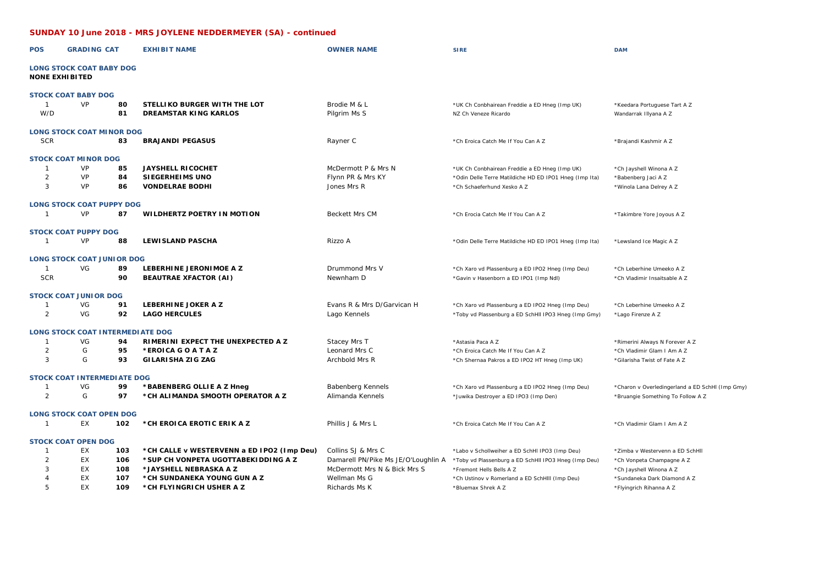## **SUNDAY 10 June 2018 - MRS JOYLENE NEDDERMEYER (SA) - continued**

| <b>POS</b>            | <b>GRADING CAT</b>                      |          | <b>EXHIBIT NAME</b>                                          | <b>OWNER NAME</b>                   | <b>SIRE</b>                                                           | <b>DAM</b>                                            |
|-----------------------|-----------------------------------------|----------|--------------------------------------------------------------|-------------------------------------|-----------------------------------------------------------------------|-------------------------------------------------------|
| <b>NONE EXHIBITED</b> | <b>LONG STOCK COAT BABY DOG</b>         |          |                                                              |                                     |                                                                       |                                                       |
|                       | <b>STOCK COAT BABY DOG</b>              |          |                                                              |                                     |                                                                       |                                                       |
| $\mathbf{1}$<br>W/D   | VP                                      | 80<br>81 | STELLIKO BURGER WITH THE LOT<br><b>DREAMSTAR KING KARLOS</b> | Brodie M & L<br>Pilgrim Ms S        | *UK Ch Conbhairean Freddie a ED Hneg (Imp UK)<br>NZ Ch Veneze Ricardo | *Keedara Portuguese Tart A Z<br>Wandarrak Illyana A Z |
|                       | <b>LONG STOCK COAT MINOR DOG</b>        |          |                                                              |                                     |                                                                       |                                                       |
| <b>SCR</b>            |                                         | 83       | <b>BRAJANDI PEGASUS</b>                                      | Rayner C                            | *Ch Eroica Catch Me If You Can A Z                                    | *Brajandi Kashmir A Z                                 |
|                       | <b>STOCK COAT MINOR DOG</b>             |          |                                                              |                                     |                                                                       |                                                       |
| $\mathbf{1}$          | VP                                      | 85       | <b>JAYSHELL RICOCHET</b>                                     | McDermott P & Mrs N                 | *UK Ch Conbhairean Freddie a ED Hneg (Imp UK)                         | *Ch Jayshell Winona A Z                               |
| $\overline{2}$        | VP                                      | 84       | SIEGERHEIMS UNO                                              | Flynn PR & Mrs KY                   | *Odin Delle Terre Matildiche HD ED IPO1 Hneg (Imp Ita)                | *Babenberg Jaci A Z                                   |
| 3                     | VP                                      | 86       | <b>VONDELRAE BODHI</b>                                       | Jones Mrs R                         | *Ch Schaeferhund Xesko A Z                                            | *Winola Lana Delrey A Z                               |
|                       | <b>LONG STOCK COAT PUPPY DOG</b>        |          |                                                              |                                     |                                                                       |                                                       |
| $\mathbf{1}$          | VP                                      | 87       | WILDHERTZ POETRY IN MOTION                                   | Beckett Mrs CM                      | *Ch Erocia Catch Me If You Can A Z                                    | *Takimbre Yore Joyous A Z                             |
|                       | <b>STOCK COAT PUPPY DOG</b>             |          |                                                              |                                     |                                                                       |                                                       |
| -1                    | <b>VP</b>                               | 88       | <b>LEWISLAND PASCHA</b>                                      | Rizzo A                             | *Odin Delle Terre Matildiche HD ED IPO1 Hneg (Imp Ita)                | *Lewsland Ice Magic A Z                               |
|                       | <b>LONG STOCK COAT JUNIOR DOG</b>       |          |                                                              |                                     |                                                                       |                                                       |
| $\overline{1}$        | VG                                      | 89       | LEBERHINE JERONIMOE A Z                                      | Drummond Mrs V                      | *Ch Xaro vd Plassenburg a ED IPO2 Hneg (Imp Deu)                      | *Ch Leberhine Umeeko A Z                              |
| <b>SCR</b>            |                                         | 90       | <b>BEAUTRAE XFACTOR (AI)</b>                                 | Newnham D                           | *Gavin v Hasenborn a ED IPO1 (Imp Ndl)                                | *Ch Vladimir Insaitsable A Z                          |
|                       | <b>STOCK COAT JUNIOR DOG</b>            |          |                                                              |                                     |                                                                       |                                                       |
| -1                    | VG                                      | 91       | LEBERHINE JOKER A Z                                          | Evans R & Mrs D/Garvican H          | *Ch Xaro vd Plassenburg a ED IPO2 Hneg (Imp Deu)                      | *Ch Leberhine Umeeko A Z                              |
| $\overline{2}$        | VG                                      | 92       | <b>LAGO HERCULES</b>                                         | Lago Kennels                        | *Toby vd Plassenburg a ED SchHll IPO3 Hneg (Imp Gmy)                  | *Lago Firenze A Z                                     |
|                       | <b>LONG STOCK COAT INTERMEDIATE DOG</b> |          |                                                              |                                     |                                                                       |                                                       |
| $\mathbf{1}$          | VG                                      | 94       | RIMERINI EXPECT THE UNEXPECTED A Z                           | Stacey Mrs T                        | *Astasia Paca A Z                                                     | *Rimerini Always N Forever A Z                        |
| $\overline{2}$        | G                                       | 95       | *EROICA GOATAZ                                               | Leonard Mrs C                       | *Ch Eroica Catch Me If You Can A Z                                    | *Ch Vladimir Glam I Am A Z                            |
| 3                     | G                                       | 93       | <b>GILARISHA ZIG ZAG</b>                                     | Archbold Mrs R                      | *Ch Shernaa Pakros a ED IPO2 HT Hneg (Imp UK)                         | *Gilarisha Twist of Fate A Z                          |
|                       | <b>STOCK COAT INTERMEDIATE DOG</b>      |          |                                                              |                                     |                                                                       |                                                       |
| 1                     | VG                                      | 99       | *BABENBERG OLLIE A Z Hneg                                    | Babenberg Kennels                   | *Ch Xaro vd Plassenburg a ED IPO2 Hneg (Imp Deu)                      | *Charon v Overledingerland a ED SchHI (Imp Gmy)       |
| $\overline{2}$        | G                                       | 97       | *CH ALIMANDA SMOOTH OPERATOR A Z                             | Alimanda Kennels                    | *Juwika Destroyer a ED IPO3 (Imp Den)                                 | *Bruangie Something To Follow A Z                     |
|                       | <b>LONG STOCK COAT OPEN DOG</b>         |          |                                                              |                                     |                                                                       |                                                       |
| $\mathbf{1}$          | EX                                      | 102      | *CH EROICA EROTIC ERIK A Z                                   | Phillis J & Mrs L                   | *Ch Eroica Catch Me If You Can A Z                                    | *Ch Vladimir Glam I Am A Z                            |
|                       | <b>STOCK COAT OPEN DOG</b>              |          |                                                              |                                     |                                                                       |                                                       |
| 1                     | EX                                      | 103      | *CH CALLE v WESTERVENN a ED IPO2 (Imp Deu)                   | Collins SJ & Mrs C                  | *Labo v Schollweiher a ED SchHI IPO3 (Imp Deu)                        | *Zimba v Westervenn a ED SchHll                       |
| $\overline{2}$        | EX                                      | 106      | *SUP CH VONPETA UGOTTABEKIDDING A Z                          | Damarell PN/Pike Ms JE/O'Loughlin A | *Toby vd Plassenburg a ED SchHll IPO3 Hneg (Imp Deu)                  | *Ch Vonpeta Champagne A Z                             |
| 3                     | EX                                      | 108      | * JAYSHELL NEBRASKA A Z                                      | McDermott Mrs N & Bick Mrs S        | *Fremont Hells Bells A Z                                              | *Ch Jayshell Winona A Z                               |
| $\overline{4}$        | <b>EX</b>                               | 107      | *CH SUNDANEKA YOUNG GUN A Z                                  | Wellman Ms G                        | *Ch Ustinov v Römerland a ED SchHill (Imp Deu)                        | *Sundaneka Dark Diamond A Z                           |
| 5                     | <b>EX</b>                               | 109      | *CH FLYINGRICH USHER A Z                                     | Richards Ms K                       | *Bluemax Shrek A Z                                                    | *Flyingrich Rihanna A Z                               |